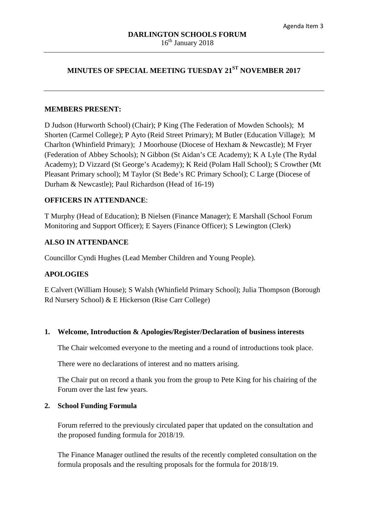# **MINUTES OF SPECIAL MEETING TUESDAY 21ST NOVEMBER 2017**

#### **MEMBERS PRESENT:**

D Judson (Hurworth School) (Chair); P King (The Federation of Mowden Schools); M Shorten (Carmel College); P Ayto (Reid Street Primary); M Butler (Education Village); M Charlton (Whinfield Primary); J Moorhouse (Diocese of Hexham & Newcastle); M Fryer (Federation of Abbey Schools); N Gibbon (St Aidan's CE Academy); K A Lyle (The Rydal Academy); D Vizzard (St George's Academy); K Reid (Polam Hall School); S Crowther (Mt Pleasant Primary school); M Taylor (St Bede's RC Primary School); C Large (Diocese of Durham & Newcastle); Paul Richardson (Head of 16-19)

### **OFFICERS IN ATTENDANCE**:

T Murphy (Head of Education); B Nielsen (Finance Manager); E Marshall (School Forum Monitoring and Support Officer); E Sayers (Finance Officer); S Lewington (Clerk)

## **ALSO IN ATTENDANCE**

Councillor Cyndi Hughes (Lead Member Children and Young People).

## **APOLOGIES**

E Calvert (William House); S Walsh (Whinfield Primary School); Julia Thompson (Borough Rd Nursery School) & E Hickerson (Rise Carr College)

#### **1. Welcome, Introduction & Apologies/Register/Declaration of business interests**

The Chair welcomed everyone to the meeting and a round of introductions took place.

There were no declarations of interest and no matters arising.

The Chair put on record a thank you from the group to Pete King for his chairing of the Forum over the last few years.

#### **2. School Funding Formula**

Forum referred to the previously circulated paper that updated on the consultation and the proposed funding formula for 2018/19.

The Finance Manager outlined the results of the recently completed consultation on the formula proposals and the resulting proposals for the formula for 2018/19.